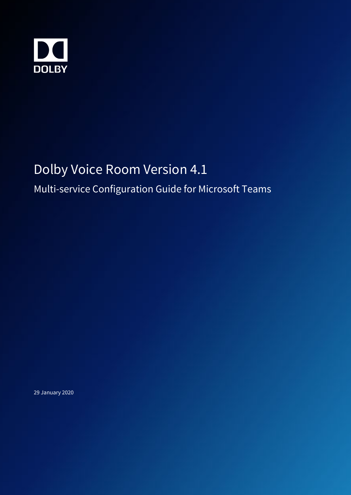

# Dolby Voice Room Version 4.1

Multi-service Configuration Guide for Microsoft Teams

29 January 2020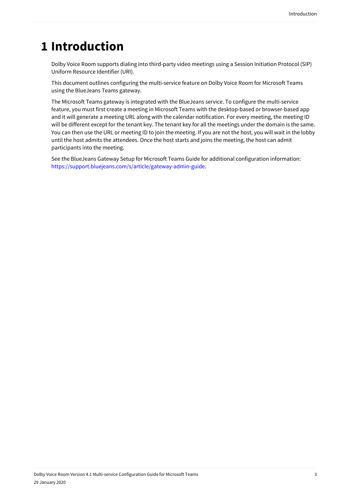## **1 Introduction**

Dolby Voice Room supports dialing into third-party video meetings using a Session Initiation Protocol (SIP) Uniform Resource Identifier (URI).

This document outlines configuring the multi-service feature on Dolby Voice Room for Microsoft Teams using the BlueJeans Teams gateway.

The Microsoft Teams gateway is integrated with the BlueJeans service. To configure the multi-service feature, you must first create a meeting in Microsoft Teams with the desktop-based or browser-based app and it will generate a meeting URL along with the calendar notification. For every meeting, the meeting ID will be different except for the tenant key. The tenant key for all the meetings under the domain is the same. You can then use the URL or meeting ID to join the meeting. If you are not the host, you will wait in the lobby until the host admits the attendees. Once the host starts and joins the meeting, the host can admit participants into the meeting.

See the BlueJeans Gateway Setup for Microsoft Teams Guide for additional configuration information: <https://support.bluejeans.com/s/article/gateway-admin-guide>.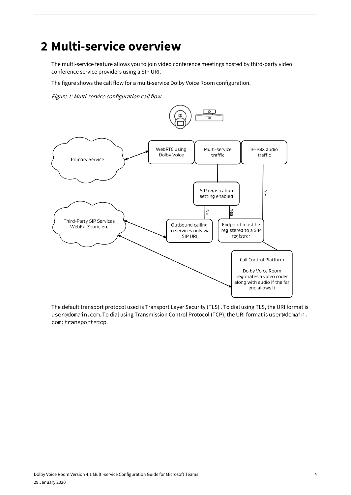## **2 Multi-service overview**

The multi-service feature allows you to join video conference meetings hosted by third-party video conference service providers using a SIP URI.

The figure shows the call flow for a multi-service Dolby Voice Room configuration.

Figure 1: Multi-service configuration call flow



The default transport protocol used is Transport Layer Security (TLS) . To dial using TLS, the URI format is user@domain.com. To dial using Transmission Control Protocol (TCP), the URI format is user@domain. com;transport=tcp.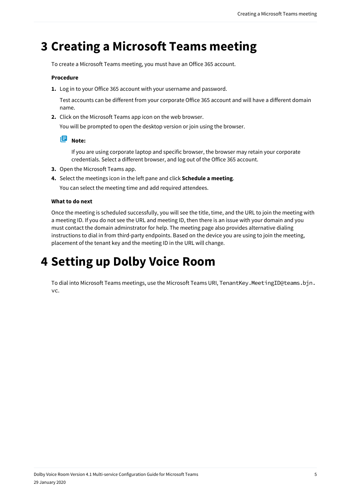### **3 Creating a Microsoft Teams meeting**

To create a Microsoft Teams meeting, you must have an Office 365 account.

#### **Procedure**

**1.** Log in to your Office 365 account with your username and password.

Test accounts can be different from your corporate Office 365 account and will have a different domain name.

**2.** Click on the Microsoft Teams app icon on the web browser.

You will be prompted to open the desktop version or join using the browser.



If you are using corporate laptop and specific browser, the browser may retain your corporate credentials. Select a different browser, and log out of the Office 365 account.

- **3.** Open the Microsoft Teams app.
- **4.** Select the meetings icon in the left pane and click **Schedule a meeting**.

You can select the meeting time and add required attendees.

#### **What to do next**

Once the meeting is scheduled successfully, you will see the title, time, and the URL to join the meeting with a meeting ID. If you do not see the URL and meeting ID, then there is an issue with your domain and you must contact the domain adminstrator for help. The meeting page also provides alternative dialing instructions to dial in from third-party endpoints. Based on the device you are using to join the meeting, placement of the tenant key and the meeting ID in the URL will change.

## **4 Setting up Dolby Voice Room**

To dial into Microsoft Teams meetings, use the Microsoft Teams URI, TenantKey.MeetingID@teams.bjn. vc.